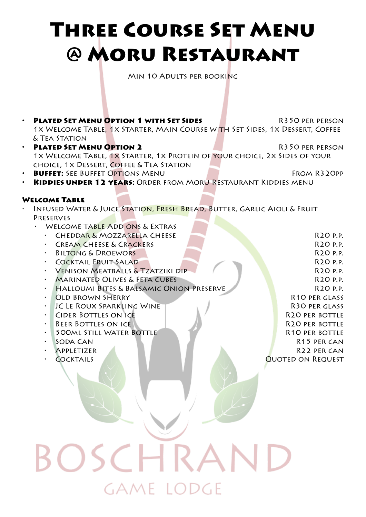## Three Course Set Menu @ Moru Restaurant

Min 10 Adults per booking

• **PLATED SET MENU OPTION 1 WITH SET SIDES** R350 PER PERSON 1x Welcome Table, 1x Starter, Main Course with Set Sides, 1x Dessert, Coffee & Tea Station • **PLATED SET MENU OPTION 2** R350 PER PERSON 1x Welcome Table, 1x Starter, 1x Protein of your choice, 2x Sides of your choice, 1x Dessert, Coffee & Tea Station **BUFFET:** SEE BUFFET OPTIONS MENU FROM R320PP • Kiddies under 12 years: Order from Moru Restaurant Kiddies menu Welcome Table INFUSED WATER & JUICE STATION, FRESH BREAD, BUTTER, GARLIC AIOLI & FRUIT Preserves WELCOME TABLE ADD ONS & EXTRAS **• CHEDDAR & MOZZARELLA CHEESE REPORT AND RUISE REPORT OF A RUISE REPORT OF A RUISE REPORT OF A RUISE REPORT OF A RUISE REPORT OF A RUISE REPORT OF A RUISE REPORT OF A RUISE REPORT OF A RUISING OF A RUISING OF A RUISING OF** • Cream Cheese & Crackers R20 p.p. **BILTONG & DROEWORS R20 p.p.** • Cocktail Fruit Salad R20 p.p. • Venison Meatballs & Tzatziki dip R20 p.p. • Marinated Olives & Feta Cubes R20 p.p. **HALLOUMI BITES & BALSAMIC ONION PRESERVE AND RESERVE R20 P.P. OLD BROWN SHERRY R10 PER GLASS IC LE ROUX SPARKLING WINE R30 PER GLASS** • CIDER BOTTLES ON ICE RESERVED AND RESERVED BY RESERVED BY A RESERVED BY A RESERVED BY A RESERVED BY A RESERVED BY A RESERVED BY A RESERVED BY A RESERVED BY A RESERVED BY A RESERVED BY A RESERVED BY A RESERVED BY A RESERV **FIGURE BOTTLES ON ICE RELATED BY A RESIDENT BOTTLE BOTTLE BOTTLE** • 500ml Still Water Bottle R10 per bottle • Soda Can R15 per can • Appletizer R22 per can • Cocktails Quoted on Request

## $SCF$ Same Todge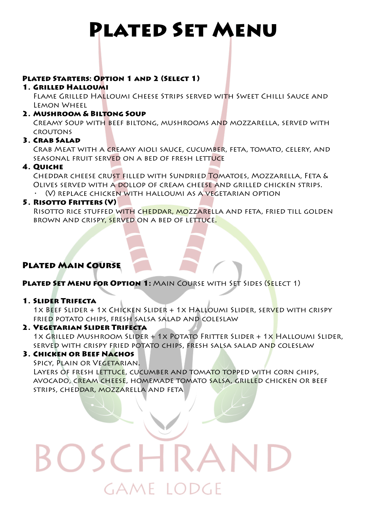### Plated Set Menu

### Plated Starters: Option 1 and 2 (Select 1)

### 1. Grilled Halloumi

Flame Grilled Halloumi Cheese Strips served with Sweet Chilli Sauce and Lemon Wheel

### 2. Mushroom & Biltong Soup

Creamy Soup with beef biltong, mushrooms and mozzarella, served with croutons

### 3. Crab Salad

Crab Meat with a creamy aioli sauce, cucumber, feta, tomato, celery, and seasonal fruit served on a bed of fresh lettuce

### 4. Quiche

Cheddar cheese crust filled with Sundried Tomatoes, Mozzarella, Feta & Olives served with a dollop of cream cheese and grilled chicken strips. • (V) replace chicken with halloumi as a vegetarian option

### 5. RISOTTO FRITTERS (V)

RISOTTO RICE STUFFED WITH CHEDDAR, MOZZARELLA AND FETA, FRIED TILL GOLDEN brown and crispy, served on a bed of lettuce.

### Plated Main Course

PLATED SET MENU FOR OPTION 1: MAIN COURSE WITH SET SIDES (SELECT 1)

### 1. Slider Trifecta

1x Beef Slider + 1x Chicken Slider + 1x Halloumi Slider, served with crispy fried potato chips, fresh salsa salad and coleslaw

### 2. Vegetarian Slider Trifecta

1x Grilled Mushroom Slider + 1x Potato Fritter Slider + 1x Halloumi Slider, served with crispy fried potato chips, fresh salsa salad and coleslaw

### 3. Chicken or Beef Nachos

SPICY, PLAIN OR VEGETARIAN.

Layers of fresh lettuce, cucumber and tomato topped with corn chips, avocado, cream cheese, homemade tomato salsa, grilled chicken or beef strips, cheddar, mozzarella and feta

# GAME TODGE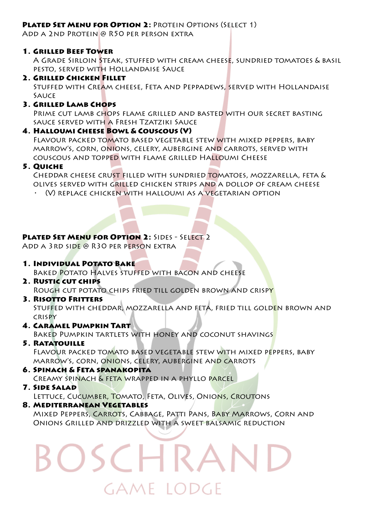### **PLATED SET MENU FOR OPTION 2: PROTEIN OPTIONS (SELECT 1)**

Add a 2nd Protein @ R50 per person extra

### 1. Grilled Beef Tower

A Grade Sirloin Steak, stuffed with cream cheese, sundried tomatoes & basil pesto, served with Hollandaise Sauce

### 2. Grilled Chicken Fillet

STUFFED WITH CREAM CHEESE, FETA AND PEPPADEWS, SERVED WITH HOLLANDAISE **SAUCE** 

### 3. GRILLED LAMB CHOPS

Prime cut lamb chops flame grilled and basted with our secret basting sauce served with a Fresh Tzatziki Sauce

### 4. Halloumi Cheese Bowl & Couscous (V)

Flavour packed tomato based vegetable stew with mixed peppers, baby marrow's, corn, onions, celery, aubergine and carrots, served with couscous and topped with flame grilled Halloumi Cheese

### 5. Quiche

Cheddar cheese crust filled with sundried tomatoes, mozzarella, feta & olives served with grilled chicken strips and a dollop of cream cheese

• (V) replace chicken with halloumi as a vegetarian option

### **PLATED SET MENU FOR OPTION 2: SIDES - SELECT 2**

Add a 3rd side @ R30 per person extra

1. Individual Potato Bake

BAKED POTATO HALVES STUFFED WITH BACON AND CHEESE

- 2. RUSTIC CUT CHIPS Rough cut potato chips fried till golden brown and crispy
- 3. RISOTTO FRITTERS Stuffed with cheddar, mozzarella and feta, fried till golden brown and crispy
- 4. Caramel Pumpkin Tart

Baked Pumpkin tartlets with honey and coconut shavings

- 5. Ratatouille Flavour packed tomato based vegetable stew with mixed peppers, baby marrow's, corn, onions, celery, aubergine and carrots
- 6. Spinach & Feta spanakopita Creamy spinach & feta wrapped in a phyllo parcel
- 7. Side Salad

Lettuce, Cucumber, Tomato, Feta, Olives, Onions, Croutons

8. Mediterranean Vegetables

Mixed Peppers, Carrots, Cabbage, Patti Pans, Baby Marrows, Corn and Onions Grilled and drizzled with a sweet balsamic reduction

## Same Todge